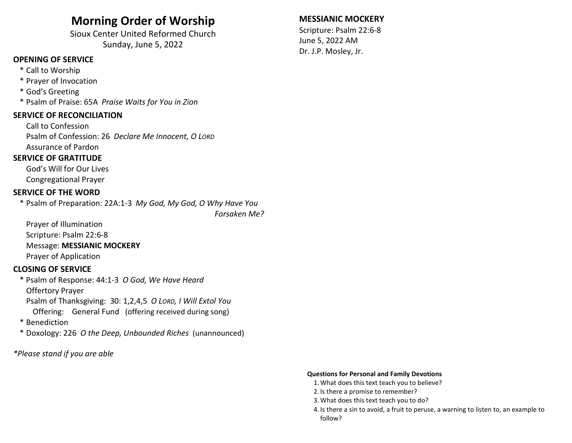## Morning Order of Worship

Sioux Center United Reformed Church Sunday, June 5, 2022

## OPENING OF SERVICE

- \* Call to Worship
- \* Prayer of Invocation
- \* God's Greeting
- \* Psalm of Praise: 65A Praise Waits for You in Zion

#### SERVICE OF RECONCILIATION

 Call to Confession Psalm of Confession: 26 Declare Me Innocent, O LORD Assurance of Pardon

#### SERVICE OF GRATITUDE

 God's Will for Our Lives Congregational Prayer

#### SERVICE OF THE WORD

\* Psalm of Preparation: 22A:1-3 My God, My God, O Why Have You Forsaken Me?

 Prayer of Illumination Scripture: Psalm 22:6-8 Message: MESSIANIC MOCKERY Prayer of Application

#### CLOSING OF SERVICE

 \* Psalm of Response: 44:1-3 O God, We Have Heard Offertory Prayer Psalm of Thanksgiving: 30: 1,2,4,5 O LORD, I Will Extol You Offering: General Fund (offering received during song)

- \* Benediction
- \* Doxology: 226 O the Deep, Unbounded Riches (unannounced)

\*Please stand if you are able

### MESSIANIC MOCKERY

Scripture: Psalm 22:6-8 June 5, 2022 AM Dr. J.P. Mosley, Jr.

#### Questions for Personal and Family Devotions

- 1.What does this text teach you to believe?
- 2. Is there a promise to remember?
- 3.What does this text teach you to do?
- 4. Is there a sin to avoid, a fruit to peruse, a warning to listen to, an example to follow?